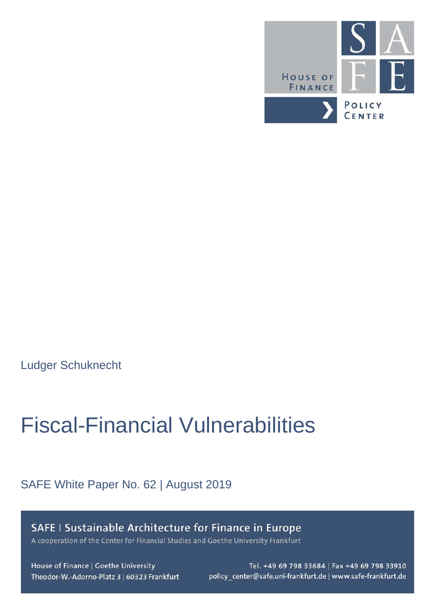

Ludger Schuknecht

# Fiscal-Financial Vulnerabilities

## SAFE White Paper No. 62 | August 2019

SAFE | Sustainable Architecture for Finance in Europe A cooperation of the Center for Financial Studies and Goethe University Frankfurt

House of Finance | Goethe University Theodor-W.-Adorno-Platz 3 | 60323 Frankfurt

Tel. +49 69 798 33684 | Fax +49 69 798 33910 policy\_center@safe.uni-frankfurt.de | www.safe-frankfurt.de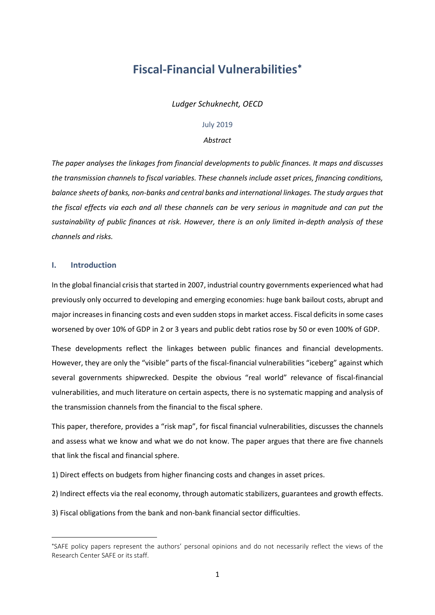# **Fiscal-Financial Vulnerabilities**[∗](#page-1-0)

*Ludger Schuknecht, OECD*

#### July 2019

#### *Abstract*

*The paper analyses the linkages from financial developments to public finances. It maps and discusses the transmission channels to fiscal variables. These channels include asset prices, financing conditions, balance sheets of banks, non-banks and central banks and international linkages. The study argues that the fiscal effects via each and all these channels can be very serious in magnitude and can put the sustainability of public finances at risk. However, there is an only limited in-depth analysis of these channels and risks.*

#### **I. Introduction**

 $\overline{a}$ 

In the global financial crisis that started in 2007, industrial country governments experienced what had previously only occurred to developing and emerging economies: huge bank bailout costs, abrupt and major increases in financing costs and even sudden stops in market access. Fiscal deficits in some cases worsened by over 10% of GDP in 2 or 3 years and public debt ratios rose by 50 or even 100% of GDP.

These developments reflect the linkages between public finances and financial developments. However, they are only the "visible" parts of the fiscal-financial vulnerabilities "iceberg" against which several governments shipwrecked. Despite the obvious "real world" relevance of fiscal-financial vulnerabilities, and much literature on certain aspects, there is no systematic mapping and analysis of the transmission channels from the financial to the fiscal sphere.

This paper, therefore, provides a "risk map", for fiscal financial vulnerabilities, discusses the channels and assess what we know and what we do not know. The paper argues that there are five channels that link the fiscal and financial sphere.

1) Direct effects on budgets from higher financing costs and changes in asset prices.

2) Indirect effects via the real economy, through automatic stabilizers, guarantees and growth effects.

3) Fiscal obligations from the bank and non-bank financial sector difficulties.

<span id="page-1-0"></span><sup>∗</sup> SAFE policy papers represent the authors' personal opinions and do not necessarily reflect the views of the Research Center SAFE or its staff.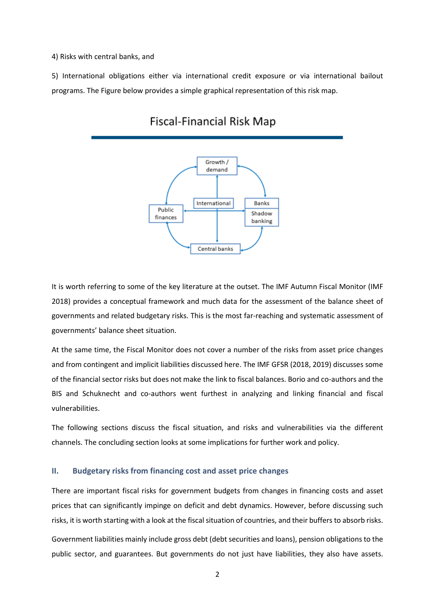4) Risks with central banks, and

5) International obligations either via international credit exposure or via international bailout programs. The Figure below provides a simple graphical representation of this risk map.



## **Fiscal-Financial Risk Map**

It is worth referring to some of the key literature at the outset. The IMF Autumn Fiscal Monitor (IMF 2018) provides a conceptual framework and much data for the assessment of the balance sheet of governments and related budgetary risks. This is the most far-reaching and systematic assessment of governments' balance sheet situation.

At the same time, the Fiscal Monitor does not cover a number of the risks from asset price changes and from contingent and implicit liabilities discussed here. The IMF GFSR (2018, 2019) discusses some of the financial sector risks but does not make the link to fiscal balances. Borio and co-authors and the BIS and Schuknecht and co-authors went furthest in analyzing and linking financial and fiscal vulnerabilities.

The following sections discuss the fiscal situation, and risks and vulnerabilities via the different channels. The concluding section looks at some implications for further work and policy.

#### **II. Budgetary risks from financing cost and asset price changes**

There are important fiscal risks for government budgets from changes in financing costs and asset prices that can significantly impinge on deficit and debt dynamics. However, before discussing such risks, it is worth starting with a look at the fiscal situation of countries, and their buffers to absorb risks.

Government liabilities mainly include gross debt (debt securities and loans), pension obligations to the public sector, and guarantees. But governments do not just have liabilities, they also have assets.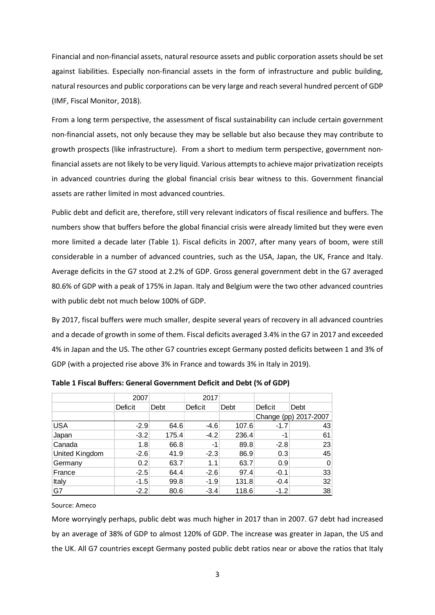Financial and non-financial assets, natural resource assets and public corporation assets should be set against liabilities. Especially non-financial assets in the form of infrastructure and public building, natural resources and public corporations can be very large and reach several hundred percent of GDP (IMF, Fiscal Monitor, 2018).

From a long term perspective, the assessment of fiscal sustainability can include certain government non-financial assets, not only because they may be sellable but also because they may contribute to growth prospects (like infrastructure). From a short to medium term perspective, government nonfinancial assets are not likely to be very liquid. Various attempts to achieve major privatization receipts in advanced countries during the global financial crisis bear witness to this. Government financial assets are rather limited in most advanced countries.

Public debt and deficit are, therefore, still very relevant indicators of fiscal resilience and buffers. The numbers show that buffers before the global financial crisis were already limited but they were even more limited a decade later (Table 1). Fiscal deficits in 2007, after many years of boom, were still considerable in a number of advanced countries, such as the USA, Japan, the UK, France and Italy. Average deficits in the G7 stood at 2.2% of GDP. Gross general government debt in the G7 averaged 80.6% of GDP with a peak of 175% in Japan. Italy and Belgium were the two other advanced countries with public debt not much below 100% of GDP.

By 2017, fiscal buffers were much smaller, despite several years of recovery in all advanced countries and a decade of growth in some of them. Fiscal deficits averaged 3.4% in the G7 in 2017 and exceeded 4% in Japan and the US. The other G7 countries except Germany posted deficits between 1 and 3% of GDP (with a projected rise above 3% in France and towards 3% in Italy in 2019).

|                | 2007    |       | 2017    |       |         |                       |
|----------------|---------|-------|---------|-------|---------|-----------------------|
|                | Deficit | Debt  | Deficit | Debt  | Deficit | Debt                  |
|                |         |       |         |       |         | Change (pp) 2017-2007 |
| <b>USA</b>     | $-2.9$  | 64.6  | $-4.6$  | 107.6 | $-1.7$  | 43                    |
| Japan          | $-3.2$  | 175.4 | $-4.2$  | 236.4 | -1      | 61                    |
| Canada         | 1.8     | 66.8  | -1      | 89.8  | $-2.8$  | 23                    |
| United Kingdom | $-2.6$  | 41.9  | $-2.3$  | 86.9  | 0.3     | 45                    |
| Germany        | 0.2     | 63.7  | 1.1     | 63.7  | 0.9     | $\overline{0}$        |
| France         | $-2.5$  | 64.4  | $-2.6$  | 97.4  | $-0.1$  | 33                    |
| Italy          | $-1.5$  | 99.8  | $-1.9$  | 131.8 | $-0.4$  | 32                    |
| G7             | $-2.2$  | 80.6  | $-3.4$  | 118.6 | $-1.2$  | 38                    |

**Table 1 Fiscal Buffers: General Government Deficit and Debt (% of GDP)**

#### Source: Ameco

More worryingly perhaps, public debt was much higher in 2017 than in 2007. G7 debt had increased by an average of 38% of GDP to almost 120% of GDP. The increase was greater in Japan, the US and the UK. All G7 countries except Germany posted public debt ratios near or above the ratios that Italy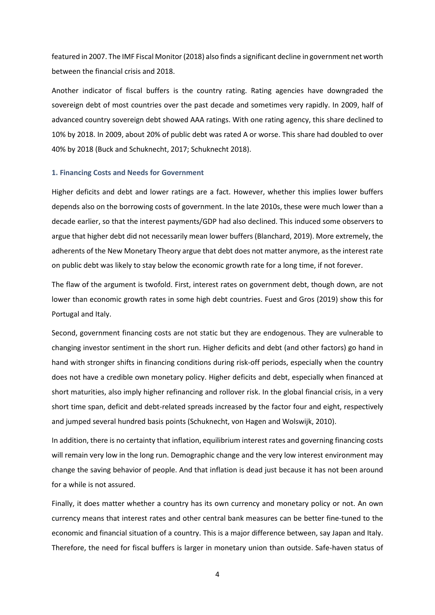featured in 2007. The IMF Fiscal Monitor (2018) also finds a significant decline in government net worth between the financial crisis and 2018.

Another indicator of fiscal buffers is the country rating. Rating agencies have downgraded the sovereign debt of most countries over the past decade and sometimes very rapidly. In 2009, half of advanced country sovereign debt showed AAA ratings. With one rating agency, this share declined to 10% by 2018. In 2009, about 20% of public debt was rated A or worse. This share had doubled to over 40% by 2018 (Buck and Schuknecht, 2017; Schuknecht 2018).

#### **1. Financing Costs and Needs for Government**

Higher deficits and debt and lower ratings are a fact. However, whether this implies lower buffers depends also on the borrowing costs of government. In the late 2010s, these were much lower than a decade earlier, so that the interest payments/GDP had also declined. This induced some observers to argue that higher debt did not necessarily mean lower buffers (Blanchard, 2019). More extremely, the adherents of the New Monetary Theory argue that debt does not matter anymore, as the interest rate on public debt was likely to stay below the economic growth rate for a long time, if not forever.

The flaw of the argument is twofold. First, interest rates on government debt, though down, are not lower than economic growth rates in some high debt countries. Fuest and Gros (2019) show this for Portugal and Italy.

Second, government financing costs are not static but they are endogenous. They are vulnerable to changing investor sentiment in the short run. Higher deficits and debt (and other factors) go hand in hand with stronger shifts in financing conditions during risk-off periods, especially when the country does not have a credible own monetary policy. Higher deficits and debt, especially when financed at short maturities, also imply higher refinancing and rollover risk. In the global financial crisis, in a very short time span, deficit and debt-related spreads increased by the factor four and eight, respectively and jumped several hundred basis points (Schuknecht, von Hagen and Wolswijk, 2010).

In addition, there is no certainty that inflation, equilibrium interest rates and governing financing costs will remain very low in the long run. Demographic change and the very low interest environment may change the saving behavior of people. And that inflation is dead just because it has not been around for a while is not assured.

Finally, it does matter whether a country has its own currency and monetary policy or not. An own currency means that interest rates and other central bank measures can be better fine-tuned to the economic and financial situation of a country. This is a major difference between, say Japan and Italy. Therefore, the need for fiscal buffers is larger in monetary union than outside. Safe-haven status of

4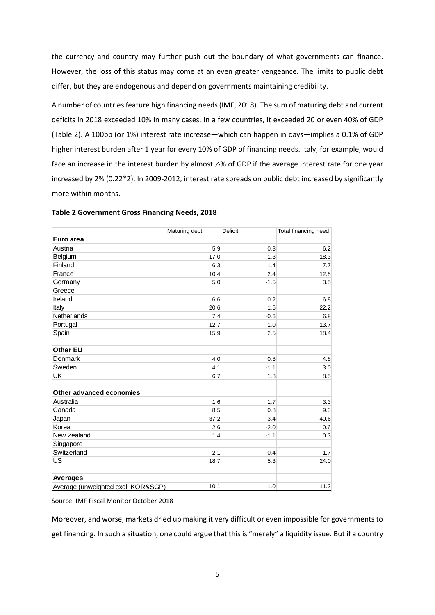the currency and country may further push out the boundary of what governments can finance. However, the loss of this status may come at an even greater vengeance. The limits to public debt differ, but they are endogenous and depend on governments maintaining credibility.

A number of countries feature high financing needs (IMF, 2018). The sum of maturing debt and current deficits in 2018 exceeded 10% in many cases. In a few countries, it exceeded 20 or even 40% of GDP (Table 2). A 100bp (or 1%) interest rate increase—which can happen in days—implies a 0.1% of GDP higher interest burden after 1 year for every 10% of GDP of financing needs. Italy, for example, would face an increase in the interest burden by almost ½% of GDP if the average interest rate for one year increased by 2% (0.22\*2). In 2009-2012, interest rate spreads on public debt increased by significantly more within months.

|                                    | Maturing debt | Deficit | Total financing need |
|------------------------------------|---------------|---------|----------------------|
| Euro area                          |               |         |                      |
| Austria                            | 5.9           | 0.3     | 6.2                  |
| Belgium                            | 17.0          | 1.3     | 18.3                 |
| Finland                            | 6.3           | 1.4     | 7.7                  |
| France                             | 10.4          | 2.4     | 12.8                 |
| Germany                            | 5.0           | $-1.5$  | 3.5                  |
| Greece                             |               |         |                      |
| Ireland                            | 6.6           | 0.2     | 6.8                  |
| Italy                              | 20.6          | 1.6     | 22.2                 |
| Netherlands                        | 7.4           | $-0.6$  | 6.8                  |
| Portugal                           | 12.7          | 1.0     | 13.7                 |
| Spain                              | 15.9          | 2.5     | 18.4                 |
| <b>Other EU</b>                    |               |         |                      |
| Denmark                            | 4.0           | 0.8     | 4.8                  |
| Sweden                             | 4.1           | $-1.1$  | 3.0                  |
| UK                                 | 6.7           | 1.8     | 8.5                  |
| Other advanced economies           |               |         |                      |
| Australia                          | 1.6           | 1.7     | 3.3                  |
| Canada                             | 8.5           | 0.8     | 9.3                  |
| Japan                              | 37.2          | 3.4     | 40.6                 |
| Korea                              | 2.6           | $-2.0$  | 0.6                  |
| New Zealand                        | 1.4           | $-1.1$  | 0.3                  |
| Singapore                          |               |         |                      |
| Switzerland                        | 2.1           | $-0.4$  | 1.7                  |
| US                                 | 18.7          | 5.3     | 24.0                 |
| Averages                           |               |         |                      |
| Average (unweighted excl. KOR&SGP) | 10.1          | 1.0     | 11.2                 |

## **Table 2 Government Gross Financing Needs, 2018**

Source: IMF Fiscal Monitor October 2018

Moreover, and worse, markets dried up making it very difficult or even impossible for governments to get financing. In such a situation, one could argue that this is "merely" a liquidity issue. But if a country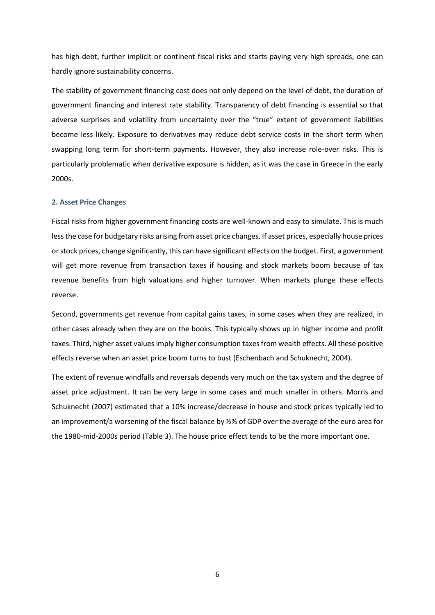has high debt, further implicit or continent fiscal risks and starts paying very high spreads, one can hardly ignore sustainability concerns.

The stability of government financing cost does not only depend on the level of debt, the duration of government financing and interest rate stability. Transparency of debt financing is essential so that adverse surprises and volatility from uncertainty over the "true" extent of government liabilities become less likely. Exposure to derivatives may reduce debt service costs in the short term when swapping long term for short-term payments. However, they also increase role-over risks. This is particularly problematic when derivative exposure is hidden, as it was the case in Greece in the early 2000s.

#### **2. Asset Price Changes**

Fiscal risks from higher government financing costs are well-known and easy to simulate. This is much less the case for budgetary risks arising from asset price changes. If asset prices, especially house prices or stock prices, change significantly, this can have significant effects on the budget. First, a government will get more revenue from transaction taxes if housing and stock markets boom because of tax revenue benefits from high valuations and higher turnover. When markets plunge these effects reverse.

Second, governments get revenue from capital gains taxes, in some cases when they are realized, in other cases already when they are on the books. This typically shows up in higher income and profit taxes. Third, higher asset values imply higher consumption taxes from wealth effects. All these positive effects reverse when an asset price boom turns to bust (Eschenbach and Schuknecht, 2004).

The extent of revenue windfalls and reversals depends very much on the tax system and the degree of asset price adjustment. It can be very large in some cases and much smaller in others. Morris and Schuknecht (2007) estimated that a 10% increase/decrease in house and stock prices typically led to an improvement/a worsening of the fiscal balance by ½% of GDP over the average of the euro area for the 1980-mid-2000s period (Table 3). The house price effect tends to be the more important one.

6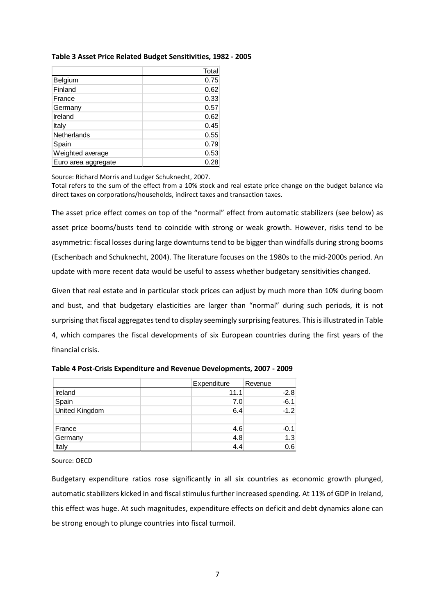|  |  | Table 3 Asset Price Related Budget Sensitivities, 1982 - 2005 |  |
|--|--|---------------------------------------------------------------|--|
|  |  |                                                               |  |

|                     | Total |
|---------------------|-------|
| Belgium             | 0.75  |
| Finland             | 0.62  |
| France              | 0.33  |
| Germany             | 0.57  |
| Ireland             | 0.62  |
| Italy               | 0.45  |
| Netherlands         | 0.55  |
| Spain               | 0.79  |
| Weighted average    | 0.53  |
| Euro area aggregate | 0.28  |

Source: Richard Morris and Ludger Schuknecht, 2007.

Total refers to the sum of the effect from a 10% stock and real estate price change on the budget balance via direct taxes on corporations/households, indirect taxes and transaction taxes. Ī

The asset price effect comes on top of the "normal" effect from automatic stabilizers (see below) as asset price booms/busts tend to coincide with strong or weak growth. However, risks tend to be asymmetric: fiscal losses during large downturns tend to be bigger than windfalls during strong booms (Eschenbach and Schuknecht, 2004). The literature focuses on the 1980s to the mid-2000s period. An update with more recent data would be useful to assess whether budgetary sensitivities changed.

Given that real estate and in particular stock prices can adjust by much more than 10% during boom and bust, and that budgetary elasticities are larger than "normal" during such periods, it is not surprising that fiscal aggregates tend to display seemingly surprising features. This is illustrated in Table 4, which compares the fiscal developments of six European countries during the first years of the financial crisis.

|                       | Expenditure | Revenue |
|-----------------------|-------------|---------|
| Ireland               | 11.1        | $-2.8$  |
| Spain                 | 7.0         | $-6.1$  |
| <b>United Kingdom</b> | 6.4         | $-1.2$  |
|                       |             |         |
| France                | 4.6         | $-0.1$  |
| Germany               | 4.8         | 1.3     |
| Italy                 | 4.4         | 0.6     |

**Table 4 Post-Crisis Expenditure and Revenue Developments, 2007 - 2009** 

Source: OECD

Budgetary expenditure ratios rose significantly in all six countries as economic growth plunged, automatic stabilizers kicked in and fiscal stimulus further increased spending. At 11% of GDP in Ireland, this effect was huge. At such magnitudes, expenditure effects on deficit and debt dynamics alone can be strong enough to plunge countries into fiscal turmoil.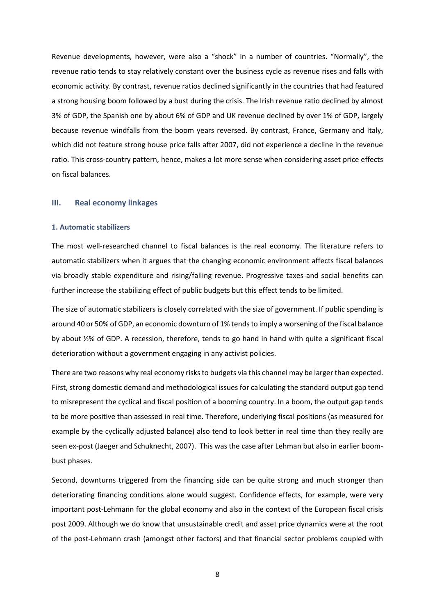Revenue developments, however, were also a "shock" in a number of countries. "Normally", the revenue ratio tends to stay relatively constant over the business cycle as revenue rises and falls with economic activity. By contrast, revenue ratios declined significantly in the countries that had featured a strong housing boom followed by a bust during the crisis. The Irish revenue ratio declined by almost 3% of GDP, the Spanish one by about 6% of GDP and UK revenue declined by over 1% of GDP, largely because revenue windfalls from the boom years reversed. By contrast, France, Germany and Italy, which did not feature strong house price falls after 2007, did not experience a decline in the revenue ratio. This cross-country pattern, hence, makes a lot more sense when considering asset price effects on fiscal balances.

#### **III. Real economy linkages**

#### **1. Automatic stabilizers**

The most well-researched channel to fiscal balances is the real economy. The literature refers to automatic stabilizers when it argues that the changing economic environment affects fiscal balances via broadly stable expenditure and rising/falling revenue. Progressive taxes and social benefits can further increase the stabilizing effect of public budgets but this effect tends to be limited.

The size of automatic stabilizers is closely correlated with the size of government. If public spending is around 40 or 50% of GDP, an economic downturn of 1% tends to imply a worsening of the fiscal balance by about ½% of GDP. A recession, therefore, tends to go hand in hand with quite a significant fiscal deterioration without a government engaging in any activist policies.

There are two reasons why real economy risks to budgets via this channel may be larger than expected. First, strong domestic demand and methodological issues for calculating the standard output gap tend to misrepresent the cyclical and fiscal position of a booming country. In a boom, the output gap tends to be more positive than assessed in real time. Therefore, underlying fiscal positions (as measured for example by the cyclically adjusted balance) also tend to look better in real time than they really are seen ex-post (Jaeger and Schuknecht, 2007). This was the case after Lehman but also in earlier boombust phases.

Second, downturns triggered from the financing side can be quite strong and much stronger than deteriorating financing conditions alone would suggest. Confidence effects, for example, were very important post-Lehmann for the global economy and also in the context of the European fiscal crisis post 2009. Although we do know that unsustainable credit and asset price dynamics were at the root of the post-Lehmann crash (amongst other factors) and that financial sector problems coupled with

8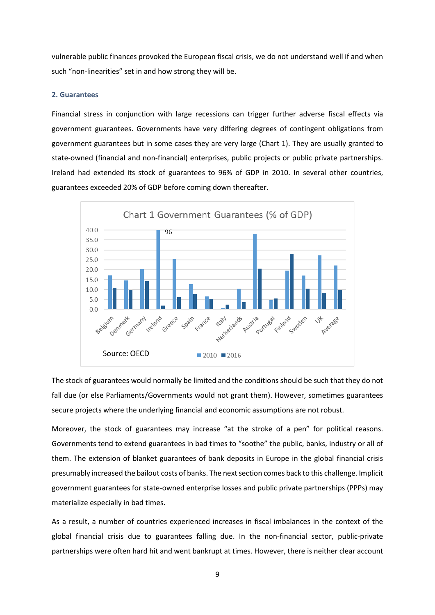vulnerable public finances provoked the European fiscal crisis, we do not understand well if and when such "non-linearities" set in and how strong they will be.

#### **2. Guarantees**

Financial stress in conjunction with large recessions can trigger further adverse fiscal effects via government guarantees. Governments have very differing degrees of contingent obligations from government guarantees but in some cases they are very large (Chart 1). They are usually granted to state-owned (financial and non-financial) enterprises, public projects or public private partnerships. Ireland had extended its stock of guarantees to 96% of GDP in 2010. In several other countries, guarantees exceeded 20% of GDP before coming down thereafter.



The stock of guarantees would normally be limited and the conditions should be such that they do not fall due (or else Parliaments/Governments would not grant them). However, sometimes guarantees secure projects where the underlying financial and economic assumptions are not robust.

Moreover, the stock of guarantees may increase "at the stroke of a pen" for political reasons. Governments tend to extend guarantees in bad times to "soothe" the public, banks, industry or all of them. The extension of blanket guarantees of bank deposits in Europe in the global financial crisis presumably increased the bailout costs of banks. The next section comes back to this challenge. Implicit government guarantees for state-owned enterprise losses and public private partnerships (PPPs) may materialize especially in bad times.

As a result, a number of countries experienced increases in fiscal imbalances in the context of the global financial crisis due to guarantees falling due. In the non-financial sector, public-private partnerships were often hard hit and went bankrupt at times. However, there is neither clear account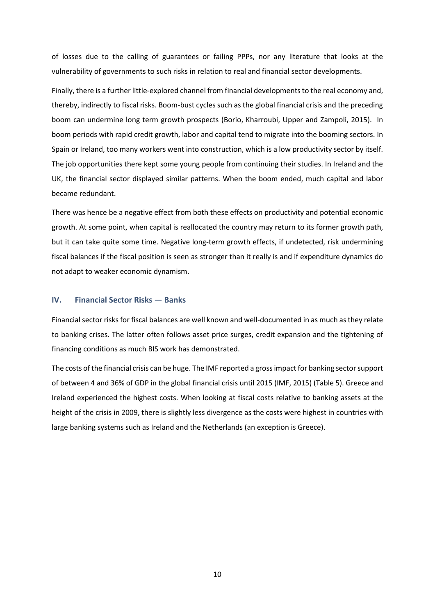of losses due to the calling of guarantees or failing PPPs, nor any literature that looks at the vulnerability of governments to such risks in relation to real and financial sector developments.

Finally, there is a further little-explored channel from financial developments to the real economy and, thereby, indirectly to fiscal risks. Boom-bust cycles such as the global financial crisis and the preceding boom can undermine long term growth prospects (Borio, Kharroubi, Upper and Zampoli, 2015). In boom periods with rapid credit growth, labor and capital tend to migrate into the booming sectors. In Spain or Ireland, too many workers went into construction, which is a low productivity sector by itself. The job opportunities there kept some young people from continuing their studies. In Ireland and the UK, the financial sector displayed similar patterns. When the boom ended, much capital and labor became redundant.

There was hence be a negative effect from both these effects on productivity and potential economic growth. At some point, when capital is reallocated the country may return to its former growth path, but it can take quite some time. Negative long-term growth effects, if undetected, risk undermining fiscal balances if the fiscal position is seen as stronger than it really is and if expenditure dynamics do not adapt to weaker economic dynamism.

#### **IV. Financial Sector Risks — Banks**

Financial sector risks for fiscal balances are well known and well-documented in as much as they relate to banking crises. The latter often follows asset price surges, credit expansion and the tightening of financing conditions as much BIS work has demonstrated.

The costs of the financial crisis can be huge. The IMF reported a gross impact for banking sector support of between 4 and 36% of GDP in the global financial crisis until 2015 (IMF, 2015) (Table 5). Greece and Ireland experienced the highest costs. When looking at fiscal costs relative to banking assets at the height of the crisis in 2009, there is slightly less divergence as the costs were highest in countries with large banking systems such as Ireland and the Netherlands (an exception is Greece).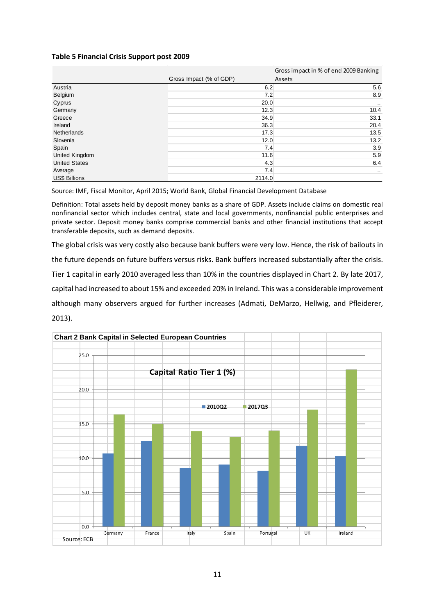## **Table 5 Financial Crisis Support post 2009**

|                      |                         | Gross impact in % of end 2009 Banking |
|----------------------|-------------------------|---------------------------------------|
|                      | Gross Impact (% of GDP) | Assets                                |
| Austria              | 6.2                     | 5.6                                   |
| Belgium              | 7.2                     | 8.9                                   |
| Cyprus               | 20.0                    | $\cdots$                              |
| Germany              | 12.3                    | 10.4                                  |
| Greece               | 34.9                    | 33.1                                  |
| Ireland              | 36.3                    | 20.4                                  |
| <b>Netherlands</b>   | 17.3                    | 13.5                                  |
| Slovenia             | 12.0                    | 13.2                                  |
| Spain                | 7.4                     | 3.9                                   |
| United Kingdom       | 11.6                    | 5.9                                   |
| <b>United States</b> | 4.3                     | 6.4                                   |
| Average              | 7.4                     | $\cdot$ .                             |
| <b>US\$ Billions</b> | 2114.0                  |                                       |

Source: IMF, Fiscal Monitor, April 2015; World Bank, Global Financial Development Database

Definition: Total assets held by deposit money banks as a share of GDP. Assets include claims on domestic real nonfinancial sector which includes central, state and local governments, nonfinancial public enterprises and private sector. Deposit money banks comprise commercial banks and other financial institutions that accept transferable deposits, such as demand deposits.

The global crisis was very costly also because bank buffers were very low. Hence, the risk of bailouts in the future depends on future buffers versus risks. Bank buffers increased substantially after the crisis. Tier 1 capital in early 2010 averaged less than 10% in the countries displayed in Chart 2. By late 2017, capital had increased to about 15% and exceeded 20% in Ireland. This was a considerable improvement although many observers argued for further increases (Admati, DeMarzo, Hellwig, and Pfleiderer, 2013).

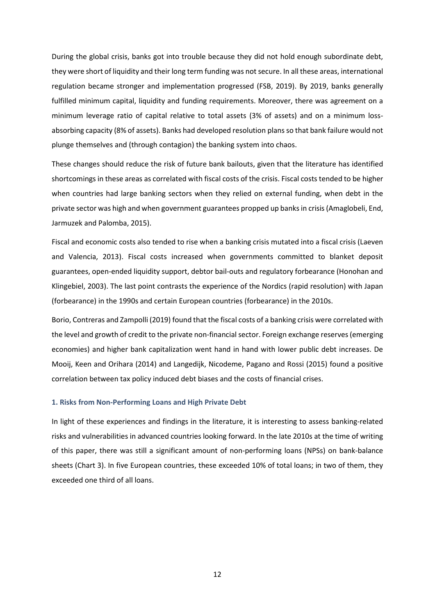During the global crisis, banks got into trouble because they did not hold enough subordinate debt, they were short of liquidity and their long term funding was not secure. In all these areas, international regulation became stronger and implementation progressed (FSB, 2019). By 2019, banks generally fulfilled minimum capital, liquidity and funding requirements. Moreover, there was agreement on a minimum leverage ratio of capital relative to total assets (3% of assets) and on a minimum lossabsorbing capacity (8% of assets). Banks had developed resolution plans so that bank failure would not plunge themselves and (through contagion) the banking system into chaos.

These changes should reduce the risk of future bank bailouts, given that the literature has identified shortcomings in these areas as correlated with fiscal costs of the crisis. Fiscal costs tended to be higher when countries had large banking sectors when they relied on external funding, when debt in the private sector was high and when government guarantees propped up banks in crisis (Amaglobeli, End, Jarmuzek and Palomba, 2015).

Fiscal and economic costs also tended to rise when a banking crisis mutated into a fiscal crisis (Laeven and Valencia, 2013). Fiscal costs increased when governments committed to blanket deposit guarantees, open-ended liquidity support, debtor bail-outs and regulatory forbearance (Honohan and Klingebiel, 2003). The last point contrasts the experience of the Nordics (rapid resolution) with Japan (forbearance) in the 1990s and certain European countries (forbearance) in the 2010s.

Borio, Contreras and Zampolli (2019) found that the fiscal costs of a banking crisis were correlated with the level and growth of credit to the private non-financial sector. Foreign exchange reserves (emerging economies) and higher bank capitalization went hand in hand with lower public debt increases. De Mooij, Keen and Orihara (2014) and Langedijk, Nicodeme, Pagano and Rossi (2015) found a positive correlation between tax policy induced debt biases and the costs of financial crises.

#### **1. Risks from Non-Performing Loans and High Private Debt**

In light of these experiences and findings in the literature, it is interesting to assess banking-related risks and vulnerabilities in advanced countries looking forward. In the late 2010s at the time of writing of this paper, there was still a significant amount of non-performing loans (NPSs) on bank-balance sheets (Chart 3). In five European countries, these exceeded 10% of total loans; in two of them, they exceeded one third of all loans.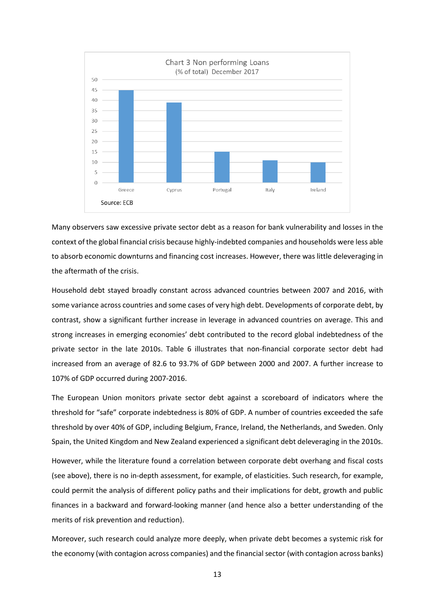

Many observers saw excessive private sector debt as a reason for bank vulnerability and losses in the context of the global financial crisis because highly-indebted companies and households were less able to absorb economic downturns and financing cost increases. However, there was little deleveraging in the aftermath of the crisis.

Household debt stayed broadly constant across advanced countries between 2007 and 2016, with some variance across countries and some cases of very high debt. Developments of corporate debt, by contrast, show a significant further increase in leverage in advanced countries on average. This and strong increases in emerging economies' debt contributed to the record global indebtedness of the private sector in the late 2010s. Table 6 illustrates that non-financial corporate sector debt had increased from an average of 82.6 to 93.7% of GDP between 2000 and 2007. A further increase to 107% of GDP occurred during 2007-2016.

The European Union monitors private sector debt against a scoreboard of indicators where the threshold for "safe" corporate indebtedness is 80% of GDP. A number of countries exceeded the safe threshold by over 40% of GDP, including Belgium, France, Ireland, the Netherlands, and Sweden. Only Spain, the United Kingdom and New Zealand experienced a significant debt deleveraging in the 2010s.

However, while the literature found a correlation between corporate debt overhang and fiscal costs (see above), there is no in-depth assessment, for example, of elasticities. Such research, for example, could permit the analysis of different policy paths and their implications for debt, growth and public finances in a backward and forward-looking manner (and hence also a better understanding of the merits of risk prevention and reduction).

Moreover, such research could analyze more deeply, when private debt becomes a systemic risk for the economy (with contagion across companies) and the financial sector (with contagion across banks)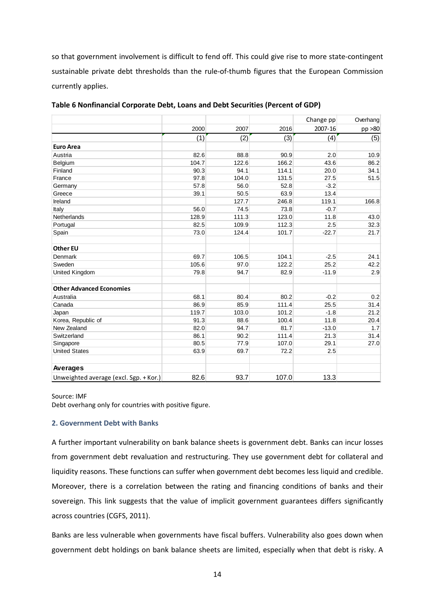so that government involvement is difficult to fend off. This could give rise to more state-contingent sustainable private debt thresholds than the rule-of-thumb figures that the European Commission currently applies.

|                                        |       |       |       | Change pp | Overhang |
|----------------------------------------|-------|-------|-------|-----------|----------|
|                                        | 2000  | 2007  | 2016  | 2007-16   | pp >80   |
|                                        | (1)   | (2)   | (3)   | (4)       | (5)      |
| <b>Euro Area</b>                       |       |       |       |           |          |
| Austria                                | 82.6  | 88.8  | 90.9  | 2.0       | 10.9     |
| Belgium                                | 104.7 | 122.6 | 166.2 | 43.6      | 86.2     |
| Finland                                | 90.3  | 94.1  | 114.1 | 20.0      | 34.1     |
| France                                 | 97.8  | 104.0 | 131.5 | 27.5      | 51.5     |
| Germany                                | 57.8  | 56.0  | 52.8  | $-3.2$    |          |
| Greece                                 | 39.1  | 50.5  | 63.9  | 13.4      |          |
| Ireland                                |       | 127.7 | 246.8 | 119.1     | 166.8    |
| Italy                                  | 56.0  | 74.5  | 73.8  | $-0.7$    |          |
| Netherlands                            | 128.9 | 111.3 | 123.0 | 11.8      | 43.0     |
| Portugal                               | 82.5  | 109.9 | 112.3 | 2.5       | 32.3     |
| Spain                                  | 73.0  | 124.4 | 101.7 | $-22.7$   | 21.7     |
| <b>Other EU</b>                        |       |       |       |           |          |
| Denmark                                | 69.7  | 106.5 | 104.1 | $-2.5$    | 24.1     |
| Sweden                                 | 105.6 | 97.0  | 122.2 | 25.2      | 42.2     |
| <b>United Kingdom</b>                  | 79.8  | 94.7  | 82.9  | $-11.9$   | 2.9      |
| <b>Other Advanced Economies</b>        |       |       |       |           |          |
| Australia                              | 68.1  | 80.4  | 80.2  | $-0.2$    | 0.2      |
| Canada                                 | 86.9  | 85.9  | 111.4 | 25.5      | 31.4     |
| Japan                                  | 119.7 | 103.0 | 101.2 | $-1.8$    | 21.2     |
| Korea, Republic of                     | 91.3  | 88.6  | 100.4 | 11.8      | 20.4     |
| New Zealand                            | 82.0  | 94.7  | 81.7  | $-13.0$   | 1.7      |
| Switzerland                            | 86.1  | 90.2  | 111.4 | 21.3      | 31.4     |
| Singapore                              | 80.5  | 77.9  | 107.0 | 29.1      | 27.0     |
| <b>United States</b>                   | 63.9  | 69.7  | 72.2  | 2.5       |          |
| Averages                               |       |       |       |           |          |
| Unweighted average (excl. Sgp. + Kor.) | 82.6  | 93.7  | 107.0 | 13.3      |          |

**Table 6 Nonfinancial Corporate Debt, Loans and Debt Securities (Percent of GDP)** 

#### Source: IMF

Debt overhang only for countries with positive figure.

#### **2. Government Debt with Banks**

A further important vulnerability on bank balance sheets is government debt. Banks can incur losses from government debt revaluation and restructuring. They use government debt for collateral and liquidity reasons. These functions can suffer when government debt becomes less liquid and credible. Moreover, there is a correlation between the rating and financing conditions of banks and their sovereign. This link suggests that the value of implicit government guarantees differs significantly across countries (CGFS, 2011).

Banks are less vulnerable when governments have fiscal buffers. Vulnerability also goes down when government debt holdings on bank balance sheets are limited, especially when that debt is risky. A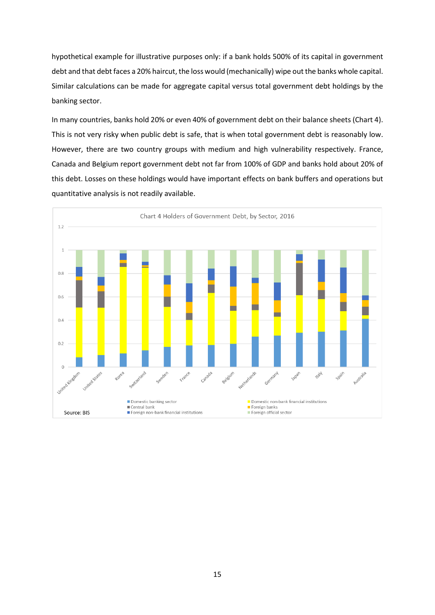hypothetical example for illustrative purposes only: if a bank holds 500% of its capital in government debt and that debt faces a 20% haircut, the loss would (mechanically) wipe out the banks whole capital. Similar calculations can be made for aggregate capital versus total government debt holdings by the banking sector.

In many countries, banks hold 20% or even 40% of government debt on their balance sheets (Chart 4). This is not very risky when public debt is safe, that is when total government debt is reasonably low. However, there are two country groups with medium and high vulnerability respectively. France, Canada and Belgium report government debt not far from 100% of GDP and banks hold about 20% of this debt. Losses on these holdings would have important effects on bank buffers and operations but quantitative analysis is not readily available.

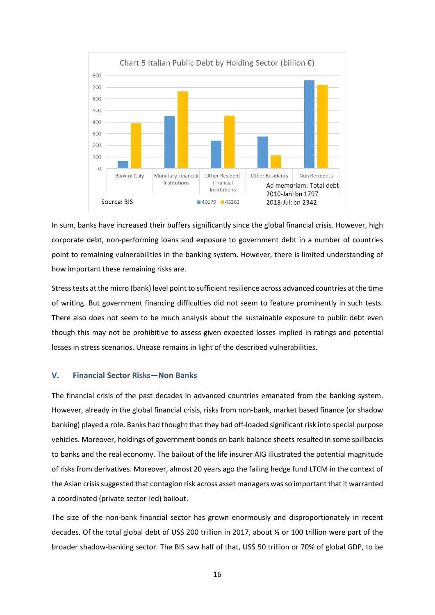

In sum, banks have increased their buffers significantly since the global financial crisis. However, high corporate debt, non-performing loans and exposure to government debt in a number of countries point to remaining vulnerabilities in the banking system. However, there is limited understanding of how important these remaining risks are.

Stress tests at the micro (bank) level point to sufficient resilience across advanced countries at the time of writing. But government financing difficulties did not seem to feature prominently in such tests. There also does not seem to be much analysis about the sustainable exposure to public debt even though this may not be prohibitive to assess given expected losses implied in ratings and potential losses in stress scenarios. Unease remains in light of the described vulnerabilities.

#### **V. Financial Sector Risks—Non Banks**

The financial crisis of the past decades in advanced countries emanated from the banking system. However, already in the global financial crisis, risks from non-bank, market based finance (or shadow banking) played a role. Banks had thought that they had off-loaded significant risk into special purpose vehicles. Moreover, holdings of government bonds on bank balance sheets resulted in some spillbacks to banks and the real economy. The bailout of the life insurer AIG illustrated the potential magnitude of risks from derivatives. Moreover, almost 20 years ago the failing hedge fund LTCM in the context of the Asian crisis suggested that contagion risk across asset managers was so important that it warranted a coordinated (private sector-led) bailout.

The size of the non-bank financial sector has grown enormously and disproportionately in recent decades. Of the total global debt of US\$ 200 trillion in 2017, about ½ or 100 trillion were part of the broader shadow-banking sector. The BIS saw half of that, US\$ 50 trillion or 70% of global GDP, to be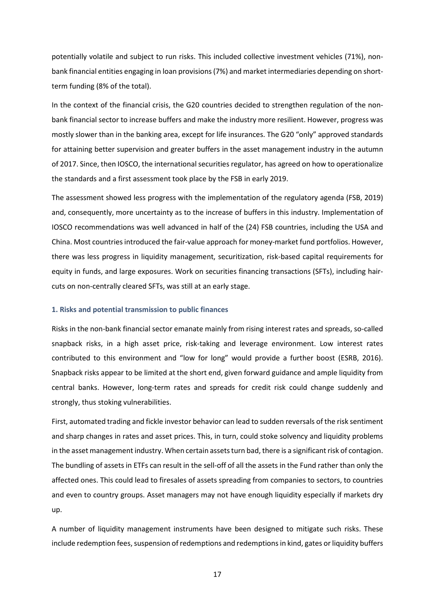potentially volatile and subject to run risks. This included collective investment vehicles (71%), nonbank financial entities engaging in loan provisions (7%) and market intermediaries depending on shortterm funding (8% of the total).

In the context of the financial crisis, the G20 countries decided to strengthen regulation of the nonbank financial sector to increase buffers and make the industry more resilient. However, progress was mostly slower than in the banking area, except for life insurances. The G20 "only" approved standards for attaining better supervision and greater buffers in the asset management industry in the autumn of 2017. Since, then IOSCO, the international securities regulator, has agreed on how to operationalize the standards and a first assessment took place by the FSB in early 2019.

The assessment showed less progress with the implementation of the regulatory agenda (FSB, 2019) and, consequently, more uncertainty as to the increase of buffers in this industry. Implementation of IOSCO recommendations was well advanced in half of the (24) FSB countries, including the USA and China. Most countries introduced the fair-value approach for money-market fund portfolios. However, there was less progress in liquidity management, securitization, risk-based capital requirements for equity in funds, and large exposures. Work on securities financing transactions (SFTs), including haircuts on non-centrally cleared SFTs, was still at an early stage.

#### **1. Risks and potential transmission to public finances**

Risks in the non-bank financial sector emanate mainly from rising interest rates and spreads, so-called snapback risks, in a high asset price, risk-taking and leverage environment. Low interest rates contributed to this environment and "low for long" would provide a further boost (ESRB, 2016). Snapback risks appear to be limited at the short end, given forward guidance and ample liquidity from central banks. However, long-term rates and spreads for credit risk could change suddenly and strongly, thus stoking vulnerabilities.

First, automated trading and fickle investor behavior can lead to sudden reversals of the risk sentiment and sharp changes in rates and asset prices. This, in turn, could stoke solvency and liquidity problems in the asset management industry. When certain assets turn bad, there is a significant risk of contagion. The bundling of assets in ETFs can result in the sell-off of all the assets in the Fund rather than only the affected ones. This could lead to firesales of assets spreading from companies to sectors, to countries and even to country groups. Asset managers may not have enough liquidity especially if markets dry up.

A number of liquidity management instruments have been designed to mitigate such risks. These include redemption fees, suspension of redemptions and redemptions in kind, gates or liquidity buffers

17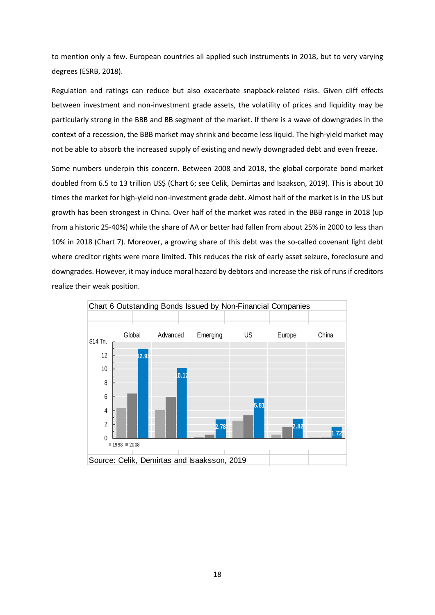to mention only a few. European countries all applied such instruments in 2018, but to very varying degrees (ESRB, 2018).

Regulation and ratings can reduce but also exacerbate snapback-related risks. Given cliff effects between investment and non-investment grade assets, the volatility of prices and liquidity may be particularly strong in the BBB and BB segment of the market. If there is a wave of downgrades in the context of a recession, the BBB market may shrink and become less liquid. The high-yield market may not be able to absorb the increased supply of existing and newly downgraded debt and even freeze.

Some numbers underpin this concern. Between 2008 and 2018, the global corporate bond market doubled from 6.5 to 13 trillion US\$ (Chart 6; see Celik, Demirtas and Isaakson, 2019). This is about 10 times the market for high-yield non-investment grade debt. Almost half of the market is in the US but growth has been strongest in China. Over half of the market was rated in the BBB range in 2018 (up from a historic 25-40%) while the share of AA or better had fallen from about 25% in 2000 to less than 10% in 2018 (Chart 7). Moreover, a growing share of this debt was the so-called covenant light debt where creditor rights were more limited. This reduces the risk of early asset seizure, foreclosure and downgrades. However, it may induce moral hazard by debtors and increase the risk of runs if creditors realize their weak position.

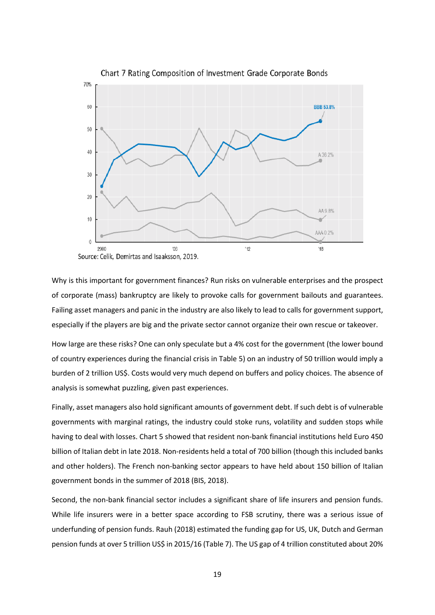

Chart 7 Rating Composition of Investment Grade Corporate Bonds

Why is this important for government finances? Run risks on vulnerable enterprises and the prospect of corporate (mass) bankruptcy are likely to provoke calls for government bailouts and guarantees. Failing asset managers and panic in the industry are also likely to lead to calls for government support, especially if the players are big and the private sector cannot organize their own rescue or takeover.

How large are these risks? One can only speculate but a 4% cost for the government (the lower bound of country experiences during the financial crisis in Table 5) on an industry of 50 trillion would imply a burden of 2 trillion US\$. Costs would very much depend on buffers and policy choices. The absence of analysis is somewhat puzzling, given past experiences.

Finally, asset managers also hold significant amounts of government debt. If such debt is of vulnerable governments with marginal ratings, the industry could stoke runs, volatility and sudden stops while having to deal with losses. Chart 5 showed that resident non-bank financial institutions held Euro 450 billion of Italian debt in late 2018. Non-residents held a total of 700 billion (though this included banks and other holders). The French non-banking sector appears to have held about 150 billion of Italian government bonds in the summer of 2018 (BIS, 2018).

Second, the non-bank financial sector includes a significant share of life insurers and pension funds. While life insurers were in a better space according to FSB scrutiny, there was a serious issue of underfunding of pension funds. Rauh (2018) estimated the funding gap for US, UK, Dutch and German pension funds at over 5 trillion US\$ in 2015/16 (Table 7). The US gap of 4 trillion constituted about 20%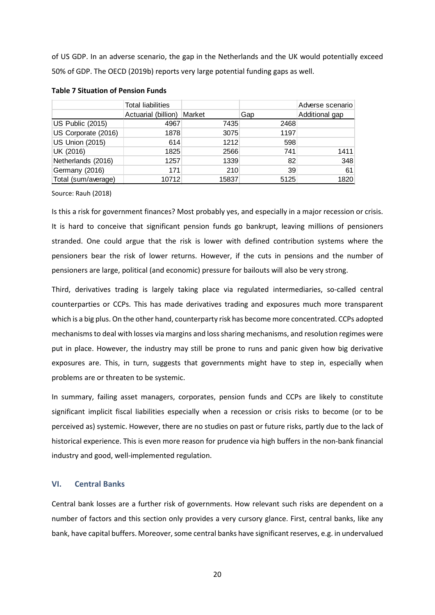of US GDP. In an adverse scenario, the gap in the Netherlands and the UK would potentially exceed 50% of GDP. The OECD (2019b) reports very large potential funding gaps as well.

|                         | <b>Total liabilities</b> |        |      | Adverse scenario |
|-------------------------|--------------------------|--------|------|------------------|
|                         | Actuarial (billion)      | Market | Gap  | Additional gap   |
| <b>US Public (2015)</b> | 4967                     | 7435   | 2468 |                  |
| US Corporate (2016)     | 1878                     | 3075   | 1197 |                  |
| <b>US Union (2015)</b>  | 614                      | 1212   | 598  |                  |
| UK (2016)               | 1825                     | 2566   | 741  | 1411             |
| Netherlands (2016)      | 1257                     | 1339   | 82   | 348              |
| Germany (2016)          | 171                      | 210    | 39   | 61               |
| Total (sum/average)     | 10712                    | 15837  | 5125 | 1820             |

## **Table 7 Situation of Pension Funds**

Source: Rauh (2018)

Is this a risk for government finances? Most probably yes, and especially in a major recession or crisis. It is hard to conceive that significant pension funds go bankrupt, leaving millions of pensioners stranded. One could argue that the risk is lower with defined contribution systems where the pensioners bear the risk of lower returns. However, if the cuts in pensions and the number of pensioners are large, political (and economic) pressure for bailouts will also be very strong.

Third, derivatives trading is largely taking place via regulated intermediaries, so-called central counterparties or CCPs. This has made derivatives trading and exposures much more transparent which is a big plus. On the other hand, counterparty risk has become more concentrated. CCPs adopted mechanisms to deal with losses via margins and loss sharing mechanisms, and resolution regimes were put in place. However, the industry may still be prone to runs and panic given how big derivative exposures are. This, in turn, suggests that governments might have to step in, especially when problems are or threaten to be systemic.

In summary, failing asset managers, corporates, pension funds and CCPs are likely to constitute significant implicit fiscal liabilities especially when a recession or crisis risks to become (or to be perceived as) systemic. However, there are no studies on past or future risks, partly due to the lack of historical experience. This is even more reason for prudence via high buffers in the non-bank financial industry and good, well-implemented regulation.

#### **VI. Central Banks**

Central bank losses are a further risk of governments. How relevant such risks are dependent on a number of factors and this section only provides a very cursory glance. First, central banks, like any bank, have capital buffers. Moreover, some central banks have significant reserves, e.g. in undervalued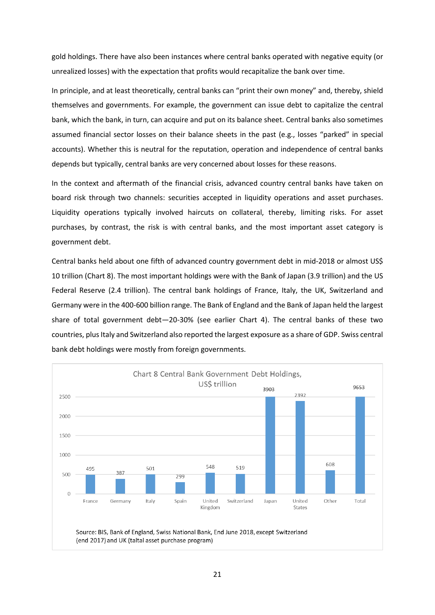gold holdings. There have also been instances where central banks operated with negative equity (or unrealized losses) with the expectation that profits would recapitalize the bank over time.

In principle, and at least theoretically, central banks can "print their own money" and, thereby, shield themselves and governments. For example, the government can issue debt to capitalize the central bank, which the bank, in turn, can acquire and put on its balance sheet. Central banks also sometimes assumed financial sector losses on their balance sheets in the past (e.g., losses "parked" in special accounts). Whether this is neutral for the reputation, operation and independence of central banks depends but typically, central banks are very concerned about losses for these reasons.

In the context and aftermath of the financial crisis, advanced country central banks have taken on board risk through two channels: securities accepted in liquidity operations and asset purchases. Liquidity operations typically involved haircuts on collateral, thereby, limiting risks. For asset purchases, by contrast, the risk is with central banks, and the most important asset category is government debt.

Central banks held about one fifth of advanced country government debt in mid-2018 or almost US\$ 10 trillion (Chart 8). The most important holdings were with the Bank of Japan (3.9 trillion) and the US Federal Reserve (2.4 trillion). The central bank holdings of France, Italy, the UK, Switzerland and Germany were in the 400-600 billion range. The Bank of England and the Bank of Japan held the largest share of total government debt—20-30% (see earlier Chart 4). The central banks of these two countries, plus Italy and Switzerland also reported the largest exposure as a share of GDP. Swiss central bank debt holdings were mostly from foreign governments.

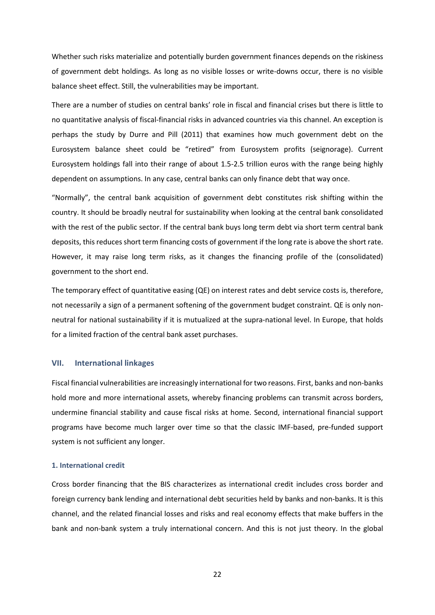Whether such risks materialize and potentially burden government finances depends on the riskiness of government debt holdings. As long as no visible losses or write-downs occur, there is no visible balance sheet effect. Still, the vulnerabilities may be important.

There are a number of studies on central banks' role in fiscal and financial crises but there is little to no quantitative analysis of fiscal-financial risks in advanced countries via this channel. An exception is perhaps the study by Durre and Pill (2011) that examines how much government debt on the Eurosystem balance sheet could be "retired" from Eurosystem profits (seignorage). Current Eurosystem holdings fall into their range of about 1.5-2.5 trillion euros with the range being highly dependent on assumptions. In any case, central banks can only finance debt that way once.

"Normally", the central bank acquisition of government debt constitutes risk shifting within the country. It should be broadly neutral for sustainability when looking at the central bank consolidated with the rest of the public sector. If the central bank buys long term debt via short term central bank deposits, this reduces short term financing costs of government if the long rate is above the short rate. However, it may raise long term risks, as it changes the financing profile of the (consolidated) government to the short end.

The temporary effect of quantitative easing (QE) on interest rates and debt service costs is, therefore, not necessarily a sign of a permanent softening of the government budget constraint. QE is only nonneutral for national sustainability if it is mutualized at the supra-national level. In Europe, that holds for a limited fraction of the central bank asset purchases.

#### **VII. International linkages**

Fiscal financial vulnerabilities are increasingly international for two reasons. First, banks and non-banks hold more and more international assets, whereby financing problems can transmit across borders, undermine financial stability and cause fiscal risks at home. Second, international financial support programs have become much larger over time so that the classic IMF-based, pre-funded support system is not sufficient any longer.

#### **1. International credit**

Cross border financing that the BIS characterizes as international credit includes cross border and foreign currency bank lending and international debt securities held by banks and non-banks. It is this channel, and the related financial losses and risks and real economy effects that make buffers in the bank and non-bank system a truly international concern. And this is not just theory. In the global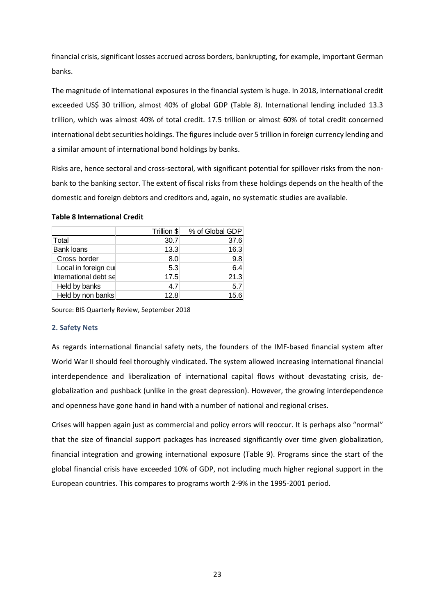financial crisis, significant losses accrued across borders, bankrupting, for example, important German banks.

The magnitude of international exposures in the financial system is huge. In 2018, international credit exceeded US\$ 30 trillion, almost 40% of global GDP (Table 8). International lending included 13.3 trillion, which was almost 40% of total credit. 17.5 trillion or almost 60% of total credit concerned international debt securities holdings. The figures include over 5 trillion in foreign currency lending and a similar amount of international bond holdings by banks.

Risks are, hence sectoral and cross-sectoral, with significant potential for spillover risks from the nonbank to the banking sector. The extent of fiscal risks from these holdings depends on the health of the domestic and foreign debtors and creditors and, again, no systematic studies are available.

## **Table 8 International Credit**

|                       | Trillion \$ | % of Global GDP |
|-----------------------|-------------|-----------------|
| Total                 | 30.7        | 37.6            |
| <b>Bank loans</b>     | 13.3        | 16.3            |
| Cross border          | 8.0         | 9.8             |
| Local in foreign cul  | 5.3         | 6.4             |
| International debt se | 17.5        | 21.3            |
| Held by banks         | 4.7         | 5.7             |
| Held by non banks     | 12.8        | 15.6            |

Source: BIS Quarterly Review, September 2018

#### **2. Safety Nets**

As regards international financial safety nets, the founders of the IMF-based financial system after World War II should feel thoroughly vindicated. The system allowed increasing international financial interdependence and liberalization of international capital flows without devastating crisis, deglobalization and pushback (unlike in the great depression). However, the growing interdependence and openness have gone hand in hand with a number of national and regional crises.

Crises will happen again just as commercial and policy errors will reoccur. It is perhaps also "normal" that the size of financial support packages has increased significantly over time given globalization, financial integration and growing international exposure (Table 9). Programs since the start of the global financial crisis have exceeded 10% of GDP, not including much higher regional support in the European countries. This compares to programs worth 2-9% in the 1995-2001 period.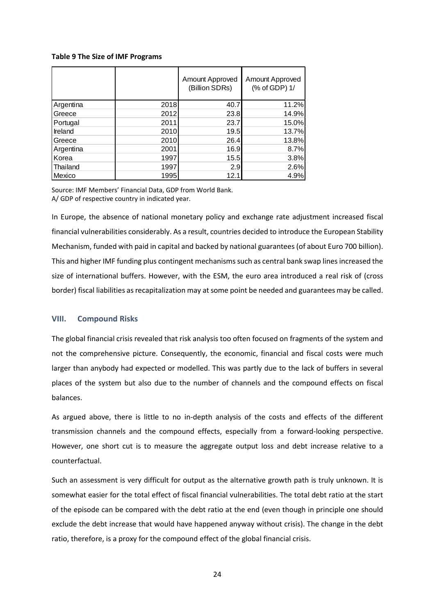### **Table 9 The Size of IMF Programs**

|           |      | Amount Approved<br>(Billion SDRs) | Amount Approved<br>(% of GDP) 1/ |
|-----------|------|-----------------------------------|----------------------------------|
| Argentina | 2018 | 40.7                              | 11.2%                            |
| Greece    | 2012 | 23.8                              | 14.9%                            |
| Portugal  | 2011 | 23.7                              | 15.0%                            |
| Ireland   | 2010 | 19.5                              | 13.7%                            |
| Greece    | 2010 | 26.4                              | 13.8%                            |
| Argentina | 2001 | 16.9                              | 8.7%                             |
| Korea     | 1997 | 15.5                              | 3.8%                             |
| Thailand  | 1997 | 2.9                               | 2.6%                             |
| Mexico    | 1995 | 12.1                              | 4.9%                             |

Source: IMF Members' Financial Data, GDP from World Bank. A/ GDP of respective country in indicated year.

In Europe, the absence of national monetary policy and exchange rate adjustment increased fiscal financial vulnerabilities considerably. As a result, countries decided to introduce the European Stability Mechanism, funded with paid in capital and backed by national guarantees (of about Euro 700 billion). This and higher IMF funding plus contingent mechanisms such as central bank swap lines increased the size of international buffers. However, with the ESM, the euro area introduced a real risk of (cross border) fiscal liabilities as recapitalization may at some point be needed and guarantees may be called.

#### **VIII. Compound Risks**

The global financial crisis revealed that risk analysis too often focused on fragments of the system and not the comprehensive picture. Consequently, the economic, financial and fiscal costs were much larger than anybody had expected or modelled. This was partly due to the lack of buffers in several places of the system but also due to the number of channels and the compound effects on fiscal balances.

As argued above, there is little to no in-depth analysis of the costs and effects of the different transmission channels and the compound effects, especially from a forward-looking perspective. However, one short cut is to measure the aggregate output loss and debt increase relative to a counterfactual.

Such an assessment is very difficult for output as the alternative growth path is truly unknown. It is somewhat easier for the total effect of fiscal financial vulnerabilities. The total debt ratio at the start of the episode can be compared with the debt ratio at the end (even though in principle one should exclude the debt increase that would have happened anyway without crisis). The change in the debt ratio, therefore, is a proxy for the compound effect of the global financial crisis.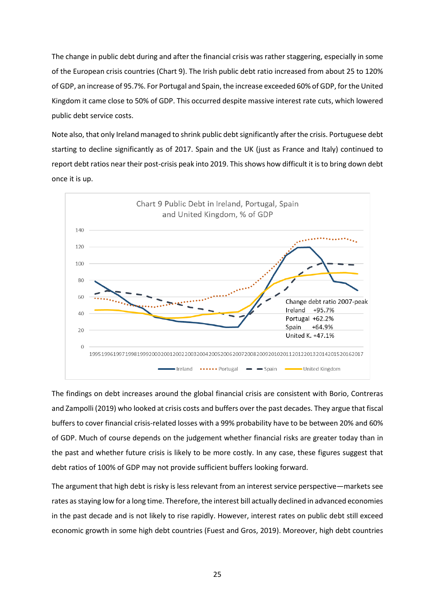The change in public debt during and after the financial crisis was rather staggering, especially in some of the European crisis countries (Chart 9). The Irish public debt ratio increased from about 25 to 120% of GDP, an increase of 95.7%. For Portugal and Spain, the increase exceeded 60% of GDP, for the United Kingdom it came close to 50% of GDP. This occurred despite massive interest rate cuts, which lowered public debt service costs.

Note also, that only Ireland managed to shrink public debt significantly after the crisis. Portuguese debt starting to decline significantly as of 2017. Spain and the UK (just as France and Italy) continued to report debt ratios near their post-crisis peak into 2019. This shows how difficult it is to bring down debt once it is up.



The findings on debt increases around the global financial crisis are consistent with Borio, Contreras and Zampolli (2019) who looked at crisis costs and buffers over the past decades. They argue that fiscal buffers to cover financial crisis-related losses with a 99% probability have to be between 20% and 60% of GDP. Much of course depends on the judgement whether financial risks are greater today than in the past and whether future crisis is likely to be more costly. In any case, these figures suggest that debt ratios of 100% of GDP may not provide sufficient buffers looking forward.

The argument that high debt is risky is less relevant from an interest service perspective—markets see rates as staying low for a long time. Therefore, the interest bill actually declined in advanced economies in the past decade and is not likely to rise rapidly. However, interest rates on public debt still exceed economic growth in some high debt countries (Fuest and Gros, 2019). Moreover, high debt countries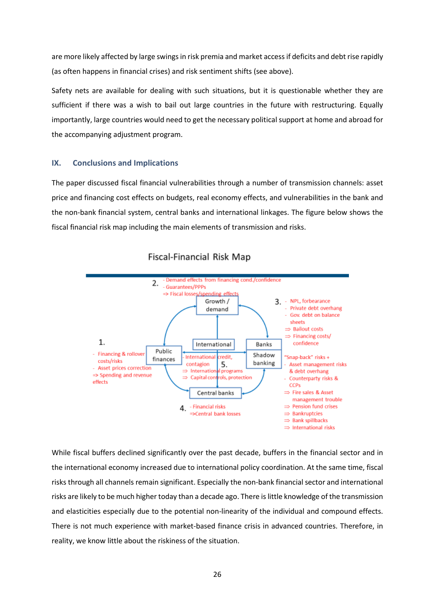are more likely affected by large swings in risk premia and market access if deficits and debt rise rapidly (as often happens in financial crises) and risk sentiment shifts (see above).

Safety nets are available for dealing with such situations, but it is questionable whether they are sufficient if there was a wish to bail out large countries in the future with restructuring. Equally importantly, large countries would need to get the necessary political support at home and abroad for the accompanying adjustment program.

#### **IX. Conclusions and Implications**

The paper discussed fiscal financial vulnerabilities through a number of transmission channels: asset price and financing cost effects on budgets, real economy effects, and vulnerabilities in the bank and the non-bank financial system, central banks and international linkages. The figure below shows the fiscal financial risk map including the main elements of transmission and risks.



#### **Fiscal-Financial Risk Map**

While fiscal buffers declined significantly over the past decade, buffers in the financial sector and in the international economy increased due to international policy coordination. At the same time, fiscal risks through all channels remain significant. Especially the non-bank financial sector and international risks are likely to be much higher today than a decade ago. There is little knowledge of the transmission and elasticities especially due to the potential non-linearity of the individual and compound effects. There is not much experience with market-based finance crisis in advanced countries. Therefore, in reality, we know little about the riskiness of the situation.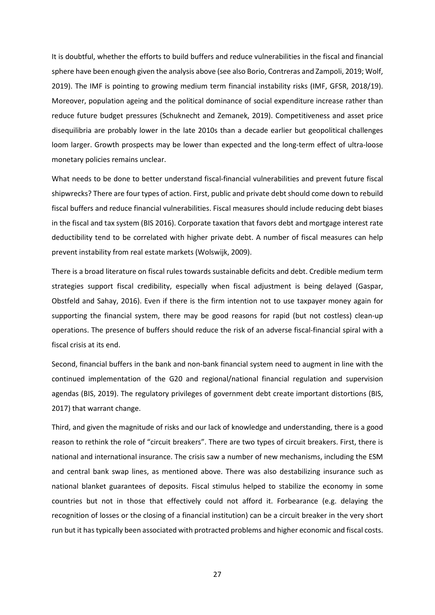It is doubtful, whether the efforts to build buffers and reduce vulnerabilities in the fiscal and financial sphere have been enough given the analysis above (see also Borio, Contreras and Zampoli, 2019; Wolf, 2019). The IMF is pointing to growing medium term financial instability risks (IMF, GFSR, 2018/19). Moreover, population ageing and the political dominance of social expenditure increase rather than reduce future budget pressures (Schuknecht and Zemanek, 2019). Competitiveness and asset price disequilibria are probably lower in the late 2010s than a decade earlier but geopolitical challenges loom larger. Growth prospects may be lower than expected and the long-term effect of ultra-loose monetary policies remains unclear.

What needs to be done to better understand fiscal-financial vulnerabilities and prevent future fiscal shipwrecks? There are four types of action. First, public and private debt should come down to rebuild fiscal buffers and reduce financial vulnerabilities. Fiscal measures should include reducing debt biases in the fiscal and tax system (BIS 2016). Corporate taxation that favors debt and mortgage interest rate deductibility tend to be correlated with higher private debt. A number of fiscal measures can help prevent instability from real estate markets (Wolswijk, 2009).

There is a broad literature on fiscal rules towards sustainable deficits and debt. Credible medium term strategies support fiscal credibility, especially when fiscal adjustment is being delayed (Gaspar, Obstfeld and Sahay, 2016). Even if there is the firm intention not to use taxpayer money again for supporting the financial system, there may be good reasons for rapid (but not costless) clean-up operations. The presence of buffers should reduce the risk of an adverse fiscal-financial spiral with a fiscal crisis at its end.

Second, financial buffers in the bank and non-bank financial system need to augment in line with the continued implementation of the G20 and regional/national financial regulation and supervision agendas (BIS, 2019). The regulatory privileges of government debt create important distortions (BIS, 2017) that warrant change.

Third, and given the magnitude of risks and our lack of knowledge and understanding, there is a good reason to rethink the role of "circuit breakers". There are two types of circuit breakers. First, there is national and international insurance. The crisis saw a number of new mechanisms, including the ESM and central bank swap lines, as mentioned above. There was also destabilizing insurance such as national blanket guarantees of deposits. Fiscal stimulus helped to stabilize the economy in some countries but not in those that effectively could not afford it. Forbearance (e.g. delaying the recognition of losses or the closing of a financial institution) can be a circuit breaker in the very short run but it has typically been associated with protracted problems and higher economic and fiscal costs.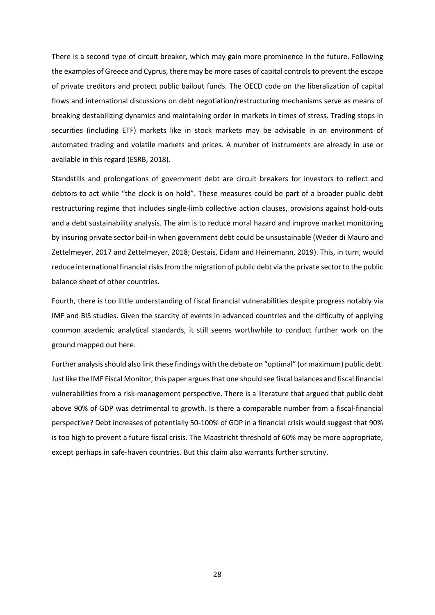There is a second type of circuit breaker, which may gain more prominence in the future. Following the examples of Greece and Cyprus, there may be more cases of capital controls to prevent the escape of private creditors and protect public bailout funds. The OECD code on the liberalization of capital flows and international discussions on debt negotiation/restructuring mechanisms serve as means of breaking destabilizing dynamics and maintaining order in markets in times of stress. Trading stops in securities (including ETF) markets like in stock markets may be advisable in an environment of automated trading and volatile markets and prices. A number of instruments are already in use or available in this regard (ESRB, 2018).

Standstills and prolongations of government debt are circuit breakers for investors to reflect and debtors to act while "the clock is on hold". These measures could be part of a broader public debt restructuring regime that includes single-limb collective action clauses, provisions against hold-outs and a debt sustainability analysis. The aim is to reduce moral hazard and improve market monitoring by insuring private sector bail-in when government debt could be unsustainable (Weder di Mauro and Zettelmeyer, 2017 and Zettelmeyer, 2018; Destais, Eidam and Heinemann, 2019). This, in turn, would reduce international financial risks from the migration of public debt via the private sector to the public balance sheet of other countries.

Fourth, there is too little understanding of fiscal financial vulnerabilities despite progress notably via IMF and BIS studies. Given the scarcity of events in advanced countries and the difficulty of applying common academic analytical standards, it still seems worthwhile to conduct further work on the ground mapped out here.

Further analysis should also link these findings with the debate on "optimal" (or maximum) public debt. Just like the IMF Fiscal Monitor, this paper argues that one should see fiscal balances and fiscal financial vulnerabilities from a risk-management perspective. There is a literature that argued that public debt above 90% of GDP was detrimental to growth. Is there a comparable number from a fiscal-financial perspective? Debt increases of potentially 50-100% of GDP in a financial crisis would suggest that 90% is too high to prevent a future fiscal crisis. The Maastricht threshold of 60% may be more appropriate, except perhaps in safe-haven countries. But this claim also warrants further scrutiny.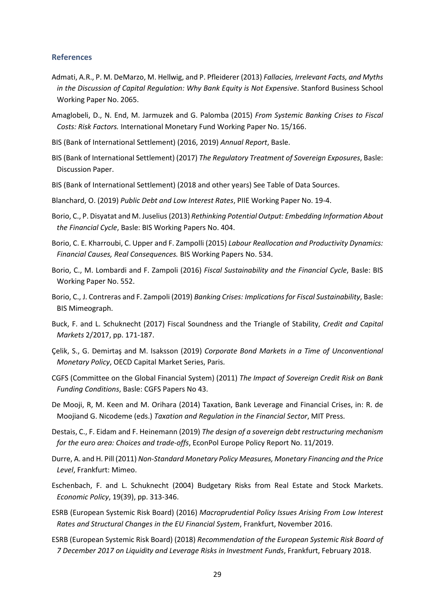#### **References**

- Admati, A.R., P. M. DeMarzo, M. Hellwig, and P. Pfleiderer (2013) *Fallacies, Irrelevant Facts, and Myths in the Discussion of Capital Regulation: Why Bank Equity is Not Expensive*. Stanford Business School Working Paper No. 2065.
- Amaglobeli, D., N. End, M. Jarmuzek and G. Palomba (2015) *From Systemic Banking Crises to Fiscal Costs: Risk Factors.* International Monetary Fund Working Paper No. 15/166.
- BIS (Bank of International Settlement) (2016, 2019) *Annual Report*, Basle.
- BIS (Bank of International Settlement) (2017) *The Regulatory Treatment of Sovereign Exposures*, Basle: Discussion Paper.
- BIS (Bank of International Settlement) (2018 and other years) See Table of Data Sources.
- Blanchard, O. (2019) *Public Debt and Low Interest Rates*, PIIE Working Paper No. 19-4.
- Borio, C., P. Disyatat and M. Juselius (2013) *Rethinking Potential Output: Embedding Information About the Financial Cycle*, Basle: BIS Working Papers No. 404.
- Borio, C. E. Kharroubi, C. Upper and F. Zampolli (2015) *Labour Reallocation and Productivity Dynamics: Financial Causes, Real Consequences.* BIS Working Papers No. 534.
- Borio, C., M. Lombardi and F. Zampoli (2016) *Fiscal Sustainability and the Financial Cycle*, Basle: BIS Working Paper No. 552.
- Borio, C., J. Contreras and F. Zampoli (2019) *Banking Crises: Implications for Fiscal Sustainability*, Basle: BIS Mimeograph.
- Buck, F. and L. Schuknecht (2017) Fiscal Soundness and the Triangle of Stability, *Credit and Capital Markets* 2/2017, pp. 171-187.
- Çelik, S., G. Demirtaş and M. Isaksson (2019) *Corporate Bond Markets in a Time of Unconventional Monetary Policy*, OECD Capital Market Series, Paris.
- CGFS (Committee on the Global Financial System) (2011) *The Impact of Sovereign Credit Risk on Bank Funding Conditions*, Basle: CGFS Papers No 43.
- De Mooji, R, M. Keen and M. Orihara (2014) Taxation, Bank Leverage and Financial Crises, in: R. de Moojiand G. Nicodeme (eds.) *Taxation and Regulation in the Financial Sector*, MIT Press.
- Destais, C., F. Eidam and F. Heinemann (2019) *The design of a sovereign debt restructuring mechanism for the euro area: Choices and trade-offs*, EconPol Europe Policy Report No. 11/2019.
- Durre, A. and H. Pill (2011) *Non-Standard Monetary Policy Measures, Monetary Financing and the Price Level*, Frankfurt: Mimeo.
- Eschenbach, F. and L. Schuknecht (2004) Budgetary Risks from Real Estate and Stock Markets. *Economic Policy*, 19(39), pp. 313-346.
- ESRB (European Systemic Risk Board) (2016) *Macroprudential Policy Issues Arising From Low Interest Rates and Structural Changes in the EU Financial System*, Frankfurt, November 2016.
- ESRB (European Systemic Risk Board) (2018) *Recommendation of the European Systemic Risk Board of 7 December 2017 on Liquidity and Leverage Risks in Investment Funds*, Frankfurt, February 2018.